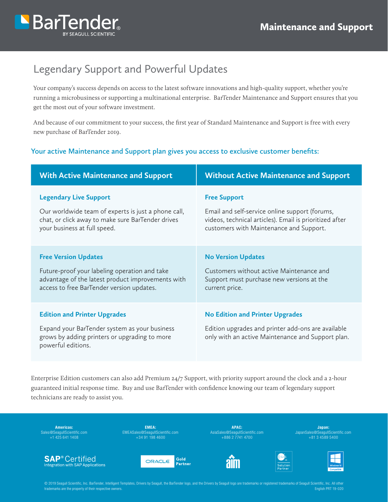

# Legendary Support and Powerful Updates

Your company's success depends on access to the latest software innovations and high-quality support, whether you're running a microbusiness or supporting a multinational enterprise. BarTender Maintenance and Support ensures that you get the most out of your software investment.

And because of our commitment to your success, the first year of Standard Maintenance and Support is free with every new purchase of BarTender 2019.

### **Your active Maintenance and Support plan gives you access to exclusive customer benefits:**

| <b>With Active Maintenance and Support</b>                                                                                                                  | <b>Without Active Maintenance and Support</b>                                                                                                     |  |
|-------------------------------------------------------------------------------------------------------------------------------------------------------------|---------------------------------------------------------------------------------------------------------------------------------------------------|--|
| <b>Legendary Live Support</b>                                                                                                                               | <b>Free Support</b>                                                                                                                               |  |
| Our worldwide team of experts is just a phone call,                                                                                                         | Email and self-service online support (forums,                                                                                                    |  |
| chat, or click away to make sure BarTender drives                                                                                                           | videos, technical articles). Email is prioritized after                                                                                           |  |
| your business at full speed.                                                                                                                                | customers with Maintenance and Support.                                                                                                           |  |
| <b>Free Version Updates</b>                                                                                                                                 | <b>No Version Updates</b>                                                                                                                         |  |
| Future-proof your labeling operation and take                                                                                                               | Customers without active Maintenance and                                                                                                          |  |
| advantage of the latest product improvements with                                                                                                           | Support must purchase new versions at the                                                                                                         |  |
| access to free BarTender version updates.                                                                                                                   | current price.                                                                                                                                    |  |
| <b>Edition and Printer Upgrades</b><br>Expand your BarTender system as your business<br>grows by adding printers or upgrading to more<br>powerful editions. | <b>No Edition and Printer Upgrades</b><br>Edition upgrades and printer add-ons are available<br>only with an active Maintenance and Support plan. |  |

Enterprise Edition customers can also add Premium 24/7 Support, with priority support around the clock and a 2-hour guaranteed initial response time. Buy and use BarTender with confidence knowing our team of legendary support technicians are ready to assist you.

Americas: Sales@SeagullScientific.com +1 425 641 1408

**SAP**<sup>®</sup> Certified

Integration with SAP Applications

EMEA: EMEASales@SeagullScientific.com +34 91 198 4600

ORACLE<sup>®</sup>

APAC: AsiaSales@SeagullScientific.com +886 2 7741 4700

Japan: JapanSales@SeagullScientific.com +81 3 4589 5400







© 2019 Seagull Scientific, Inc. BarTender, Intelligent Templates, Drivers by Seagull, the BarTender logo, and the Drivers by Seagull logo are trademarks or registered trademarks of Seagull Scientific, Inc. All other trademarks are the property of their respective owners. English PRT 19-020

Gold

**Partner**